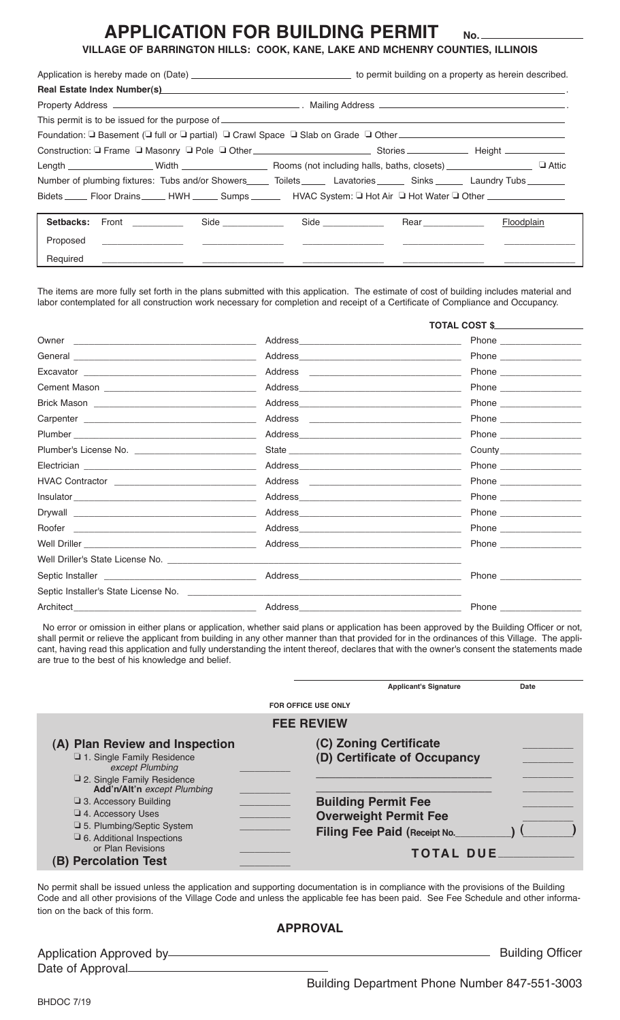### **APPLICATION FOR BUILDING PERMIT**

**VILLAGE OF BARRINGTON HILLS: COOK, KANE, LAKE AND MCHENRY COUNTIES, ILLINOIS**

**No.**

| Real Estate Index Number(s) <b>And All According to the Contract of the Contract of Contract Contract of Contract O</b>                |  |  |  |  |
|----------------------------------------------------------------------------------------------------------------------------------------|--|--|--|--|
|                                                                                                                                        |  |  |  |  |
|                                                                                                                                        |  |  |  |  |
| Foundation: □ Basement (□ full or □ partial) □ Crawl Space □ Slab on Grade □ Other __________________________________                  |  |  |  |  |
|                                                                                                                                        |  |  |  |  |
|                                                                                                                                        |  |  |  |  |
| Number of plumbing fixtures: Tubs and/or Showers______ Toilets_______ Lavatories_______ Sinks_______ Laundry Tubs________              |  |  |  |  |
| Bidets _______ Floor Drains ________ HWH _______ Sumps ____________ HVAC System: Q Hot Air Q Hot Water Q Other _______________________ |  |  |  |  |
|                                                                                                                                        |  |  |  |  |
| Setbacks: Front __________ Side __________ Side _________ Rear Rear Rear Floodplain                                                    |  |  |  |  |
| Proposed<br><u> Alexandro de la construcción de la construcción de la construcción de la construcción de la construcción de l</u>      |  |  |  |  |
| Required                                                                                                                               |  |  |  |  |

The items are more fully set forth in the plans submitted with this application. The estimate of cost of building includes material and labor contemplated for all construction work necessary for completion and receipt of a Certificate of Compliance and Occupancy.

|                                                                                                                                |                                                                                                                                                                                                                                | <b>TOTAL COST \$</b>                                                                      |  |
|--------------------------------------------------------------------------------------------------------------------------------|--------------------------------------------------------------------------------------------------------------------------------------------------------------------------------------------------------------------------------|-------------------------------------------------------------------------------------------|--|
| Owner<br><u> 1980 - John Stein, mars and de Britain and de Britain and de Britain and de Britain and de Britain and de Br</u>  | Address                                                                                                                                                                                                                        |                                                                                           |  |
|                                                                                                                                |                                                                                                                                                                                                                                |                                                                                           |  |
|                                                                                                                                | Address                                                                                                                                                                                                                        | the control of the control of the control of the control of the control of the control of |  |
|                                                                                                                                |                                                                                                                                                                                                                                |                                                                                           |  |
|                                                                                                                                |                                                                                                                                                                                                                                |                                                                                           |  |
|                                                                                                                                | Address<br><u> 1989 - Johann Stein, fransk politiker (d. 1989)</u>                                                                                                                                                             |                                                                                           |  |
|                                                                                                                                |                                                                                                                                                                                                                                |                                                                                           |  |
|                                                                                                                                | State                                                                                                                                                                                                                          |                                                                                           |  |
|                                                                                                                                | Address and the contract of the contract of the contract of the contract of the contract of the contract of the contract of the contract of the contract of the contract of the contract of the contract of the contract of th |                                                                                           |  |
|                                                                                                                                | Address<br>the control of the control of the control of the control of the control of                                                                                                                                          |                                                                                           |  |
|                                                                                                                                |                                                                                                                                                                                                                                |                                                                                           |  |
|                                                                                                                                |                                                                                                                                                                                                                                |                                                                                           |  |
| Roofer<br><u> 2000 - 2000 - 2000 - 2000 - 2000 - 2000 - 2000 - 2000 - 2000 - 2000 - 2000 - 2000 - 2000 - 2000 - 2000 - 200</u> | Address and the contract of the contract of the contract of the contract of the contract of the contract of the contract of the contract of the contract of the contract of the contract of the contract of the contract of th |                                                                                           |  |
|                                                                                                                                | Address and the contract of the contract of the contract of the contract of the contract of the contract of the contract of the contract of the contract of the contract of the contract of the contract of the contract of th |                                                                                           |  |
| Well Driller's State License No. _____________                                                                                 |                                                                                                                                                                                                                                |                                                                                           |  |
|                                                                                                                                |                                                                                                                                                                                                                                |                                                                                           |  |
| Septic Installer's State License No.                                                                                           |                                                                                                                                                                                                                                |                                                                                           |  |
| Architect_                                                                                                                     | Address                                                                                                                                                                                                                        | Phone __________                                                                          |  |

No error or omission in either plans or application, whether said plans or application has been approved by the Building Officer or not, shall permit or relieve the applicant from building in any other manner than that provided for in the ordinances of this Village. The applicant, having read this application and fully understanding the intent thereof, declares that with the owner's consent the statements made are true to the best of his knowledge and belief.

|                                                                                                                                                                           | <b>Applicant's Signature</b>                                                                                   | Date |  |  |  |  |
|---------------------------------------------------------------------------------------------------------------------------------------------------------------------------|----------------------------------------------------------------------------------------------------------------|------|--|--|--|--|
|                                                                                                                                                                           | <b>FOR OFFICE USE ONLY</b>                                                                                     |      |  |  |  |  |
| <b>FEE REVIEW</b>                                                                                                                                                         |                                                                                                                |      |  |  |  |  |
| (A) Plan Review and Inspection<br>1. Single Family Residence<br>except Plumbing<br>2. Single Family Residence<br>Add'n/Alt'n except Plumbing                              | (C) Zoning Certificate<br>(D) Certificate of Occupancy                                                         |      |  |  |  |  |
| $\Box$ 3. Accessory Building<br>$\Box$ 4. Accessory Uses<br>□ 5. Plumbing/Septic System<br>□ 6. Additional Inspections<br>or Plan Revisions<br><b>B) Percolation Test</b> | <b>Building Permit Fee</b><br><b>Overweight Permit Fee</b><br>Filing Fee Paid (Receipt No.<br><b>TOTAL DUE</b> |      |  |  |  |  |

No permit shall be issued unless the application and supporting documentation is in compliance with the provisions of the Building Code and all other provisions of the Village Code and unless the applicable fee has been paid. See Fee Schedule and other information on the back of this form.

#### **APPROVAL**

| Application Approved by- |  |
|--------------------------|--|
|                          |  |
| Date of Approval-        |  |
|                          |  |

**EXECUTE:** Building Officer